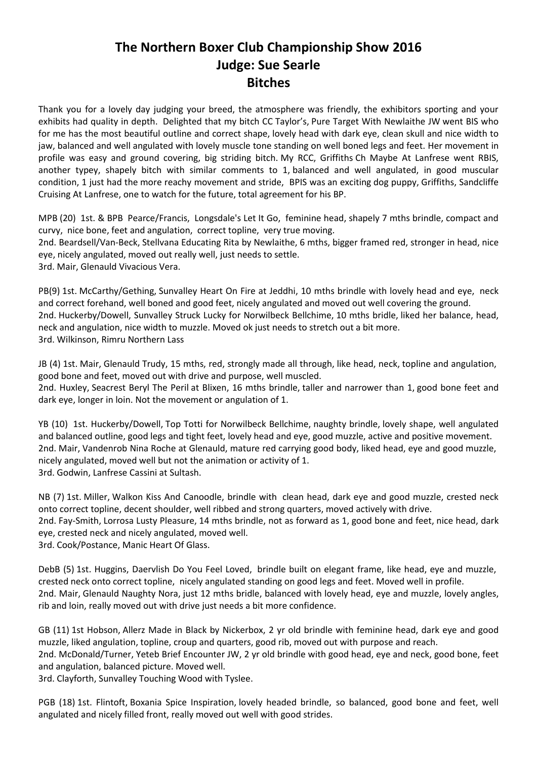## **The Northern Boxer Club Championship Show 2016 Judge: Sue Searle Bitches**

Thank you for a lovely day judging your breed, the atmosphere was friendly, the exhibitors sporting and your exhibits had quality in depth. Delighted that my bitch CC Taylor's, Pure Target With Newlaithe JW went BIS who for me has the most beautiful outline and correct shape, lovely head with dark eye, clean skull and nice width to jaw, balanced and well angulated with lovely muscle tone standing on well boned legs and feet. Her movement in profile was easy and ground covering, big striding bitch. My RCC, Griffiths Ch Maybe At Lanfrese went RBIS, another typey, shapely bitch with similar comments to 1, balanced and well angulated, in good muscular condition, 1 just had the more reachy movement and stride, BPIS was an exciting dog puppy, Griffiths, Sandcliffe Cruising At Lanfrese, one to watch for the future, total agreement for his BP.

MPB (20) 1st. & BPB Pearce/Francis, Longsdale's Let It Go, feminine head, shapely 7 mths brindle, compact and curvy, nice bone, feet and angulation, correct topline, very true moving.

2nd. Beardsell/Van-Beck, Stellvana Educating Rita by Newlaithe, 6 mths, bigger framed red, stronger in head, nice eye, nicely angulated, moved out really well, just needs to settle.

3rd. Mair, Glenauld Vivacious Vera.

PB(9) 1st. McCarthy/Gething, Sunvalley Heart On Fire at Jeddhi, 10 mths brindle with lovely head and eye, neck and correct forehand, well boned and good feet, nicely angulated and moved out well covering the ground. 2nd. Huckerby/Dowell, Sunvalley Struck Lucky for Norwilbeck Bellchime, 10 mths bridle, liked her balance, head, neck and angulation, nice width to muzzle. Moved ok just needs to stretch out a bit more. 3rd. Wilkinson, Rimru Northern Lass

JB (4) 1st. Mair, Glenauld Trudy, 15 mths, red, strongly made all through, like head, neck, topline and angulation, good bone and feet, moved out with drive and purpose, well muscled.

2nd. Huxley, Seacrest Beryl The Peril at Blixen, 16 mths brindle, taller and narrower than 1, good bone feet and dark eye, longer in loin. Not the movement or angulation of 1.

YB (10) 1st. Huckerby/Dowell, Top Totti for Norwilbeck Bellchime, naughty brindle, lovely shape, well angulated and balanced outline, good legs and tight feet, lovely head and eye, good muzzle, active and positive movement. 2nd. Mair, Vandenrob Nina Roche at Glenauld, mature red carrying good body, liked head, eye and good muzzle, nicely angulated, moved well but not the animation or activity of 1. 3rd. Godwin, Lanfrese Cassini at Sultash.

NB (7) 1st. Miller, Walkon Kiss And Canoodle, brindle with clean head, dark eye and good muzzle, crested neck onto correct topline, decent shoulder, well ribbed and strong quarters, moved actively with drive. 2nd. Fay-Smith, Lorrosa Lusty Pleasure, 14 mths brindle, not as forward as 1, good bone and feet, nice head, dark eye, crested neck and nicely angulated, moved well. 3rd. Cook/Postance, Manic Heart Of Glass.

DebB (5) 1st. Huggins, Daervlish Do You Feel Loved, brindle built on elegant frame, like head, eye and muzzle, crested neck onto correct topline, nicely angulated standing on good legs and feet. Moved well in profile. 2nd. Mair, Glenauld Naughty Nora, just 12 mths bridle, balanced with lovely head, eye and muzzle, lovely angles, rib and loin, really moved out with drive just needs a bit more confidence.

GB (11) 1st Hobson, Allerz Made in Black by Nickerbox, 2 yr old brindle with feminine head, dark eye and good muzzle, liked angulation, topline, croup and quarters, good rib, moved out with purpose and reach.

2nd. McDonald/Turner, Yeteb Brief Encounter JW, 2 yr old brindle with good head, eye and neck, good bone, feet and angulation, balanced picture. Moved well.

3rd. Clayforth, Sunvalley Touching Wood with Tyslee.

PGB (18) 1st. Flintoft, Boxania Spice Inspiration, lovely headed brindle, so balanced, good bone and feet, well angulated and nicely filled front, really moved out well with good strides.